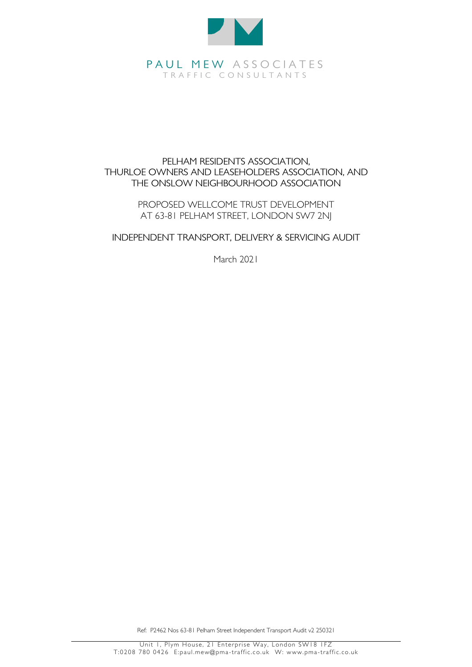

## PELHAM RESIDENTS ASSOCIATION, THURLOE OWNERS AND LEASEHOLDERS ASSOCIATION, AND THE ONSLOW NEIGHBOURHOOD ASSOCIATION

PROPOSED WELLCOME TRUST DEVELOPMENT AT 63-81 PELHAM STREET, LONDON SW7 2NJ

INDEPENDENT TRANSPORT, DELIVERY & SERVICING AUDIT

March 2021

Ref: P2462 Nos 63-81 Pelham Street Independent Transport Audit v2 250321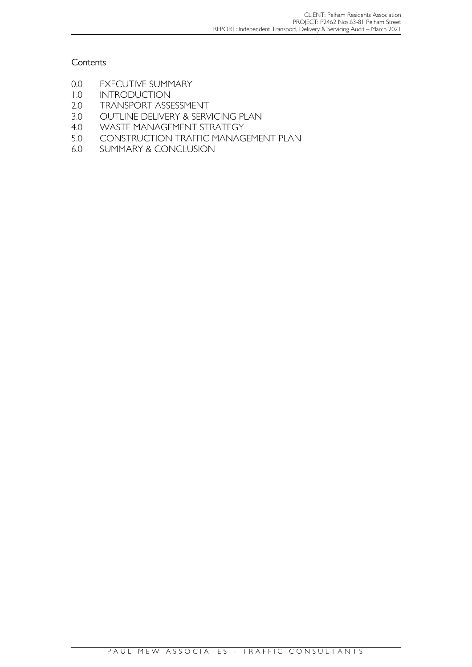## **Contents**

- 0.0 EXECUTIVE SUMMARY
- 1.0 INTRODUCTION<br>2.0 TRANSPORT ASSI
- TRANSPORT ASSESSMENT
- 3.0 OUTLINE DELIVERY & SERVICING PLAN
- 
- 4.0 WASTE MANAGEMENT STRATEGY<br>5.0 CONSTRUCTION TRAFFIC MANAG 5.0 CONSTRUCTION TRAFFIC MANAGEMENT PLAN
- 6.0 SUMMARY & CONCLUSION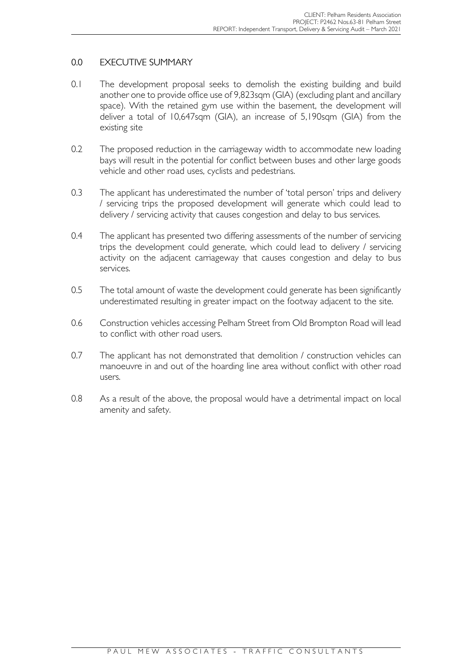# 0.0 EXECUTIVE SUMMARY

- 0.1 The development proposal seeks to demolish the existing building and build another one to provide office use of 9,823sqm (GIA) (excluding plant and ancillary space). With the retained gym use within the basement, the development will deliver a total of 10,647sqm (GIA), an increase of 5,190sqm (GIA) from the existing site
- 0.2 The proposed reduction in the carriageway width to accommodate new loading bays will result in the potential for conflict between buses and other large goods vehicle and other road uses, cyclists and pedestrians.
- 0.3 The applicant has underestimated the number of 'total person' trips and delivery / servicing trips the proposed development will generate which could lead to delivery / servicing activity that causes congestion and delay to bus services.
- 0.4 The applicant has presented two differing assessments of the number of servicing trips the development could generate, which could lead to delivery / servicing activity on the adjacent carriageway that causes congestion and delay to bus services.
- 0.5 The total amount of waste the development could generate has been significantly underestimated resulting in greater impact on the footway adjacent to the site.
- 0.6 Construction vehicles accessing Pelham Street from Old Brompton Road will lead to conflict with other road users.
- 0.7 The applicant has not demonstrated that demolition / construction vehicles can manoeuvre in and out of the hoarding line area without conflict with other road users.
- 0.8 As a result of the above, the proposal would have a detrimental impact on local amenity and safety.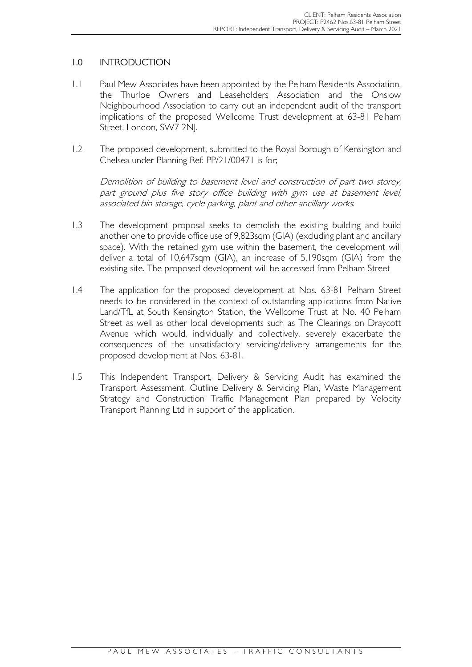# 1.0 INTRODUCTION

- 1.1 Paul Mew Associates have been appointed by the Pelham Residents Association, the Thurloe Owners and Leaseholders Association and the Onslow Neighbourhood Association to carry out an independent audit of the transport implications of the proposed Wellcome Trust development at 63-81 Pelham Street, London, SW7 2NJ.
- 1.2 The proposed development, submitted to the Royal Borough of Kensington and Chelsea under Planning Ref: PP/21/00471 is for;

Demolition of building to basement level and construction of part two storey, part ground plus five story office building with gym use at basement level, associated bin storage, cycle parking, plant and other ancillary works.

- 1.3 The development proposal seeks to demolish the existing building and build another one to provide office use of 9,823sqm (GIA) (excluding plant and ancillary space). With the retained gym use within the basement, the development will deliver a total of 10,647sqm (GIA), an increase of 5,190sqm (GIA) from the existing site. The proposed development will be accessed from Pelham Street
- 1.4 The application for the proposed development at Nos. 63-81 Pelham Street needs to be considered in the context of outstanding applications from Native Land/TfL at South Kensington Station, the Wellcome Trust at No. 40 Pelham Street as well as other local developments such as The Clearings on Draycott Avenue which would, individually and collectively, severely exacerbate the consequences of the unsatisfactory servicing/delivery arrangements for the proposed development at Nos. 63-81.
- 1.5 This Independent Transport, Delivery & Servicing Audit has examined the Transport Assessment, Outline Delivery & Servicing Plan, Waste Management Strategy and Construction Traffic Management Plan prepared by Velocity Transport Planning Ltd in support of the application.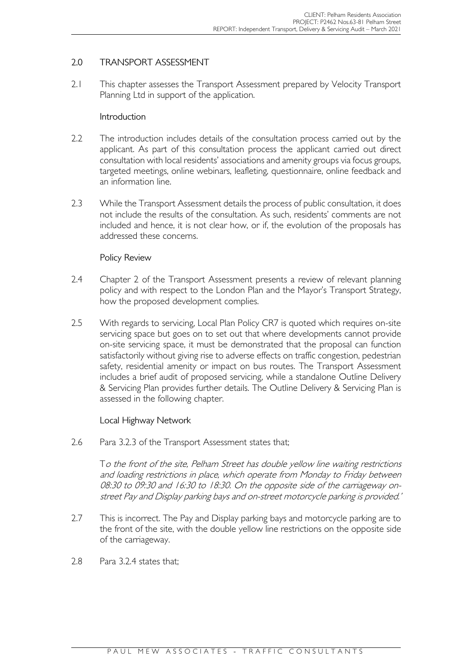# 2.0 TRANSPORT ASSESSMENT

2.1 This chapter assesses the Transport Assessment prepared by Velocity Transport Planning Ltd in support of the application.

#### Introduction

- 2.2 The introduction includes details of the consultation process carried out by the applicant. As part of this consultation process the applicant carried out direct consultation with local residents' associations and amenity groups via focus groups, targeted meetings, online webinars, leafleting, questionnaire, online feedback and an information line.
- 2.3 While the Transport Assessment details the process of public consultation, it does not include the results of the consultation. As such, residents' comments are not included and hence, it is not clear how, or if, the evolution of the proposals has addressed these concerns.

### Policy Review

- 2.4 Chapter 2 of the Transport Assessment presents a review of relevant planning policy and with respect to the London Plan and the Mayor's Transport Strategy, how the proposed development complies.
- 2.5 With regards to servicing, Local Plan Policy CR7 is quoted which requires on-site servicing space but goes on to set out that where developments cannot provide on-site servicing space, it must be demonstrated that the proposal can function satisfactorily without giving rise to adverse effects on traffic congestion, pedestrian safety, residential amenity or impact on bus routes. The Transport Assessment includes a brief audit of proposed servicing, while a standalone Outline Delivery & Servicing Plan provides further details. The Outline Delivery & Servicing Plan is assessed in the following chapter.

# Local Highway Network

2.6 Para 3.2.3 of the Transport Assessment states that;

To the front of the site, Pelham Street has double yellow line waiting restrictions and loading restrictions in place, which operate from Monday to Friday between 08:30 to 09:30 and 16:30 to 18:30. On the opposite side of the carriageway onstreet Pay and Display parking bays and on-street motorcycle parking is provided.'

- 2.7 This is incorrect. The Pay and Display parking bays and motorcycle parking are to the front of the site, with the double yellow line restrictions on the opposite side of the carriageway.
- 2.8 Para 3.2.4 states that;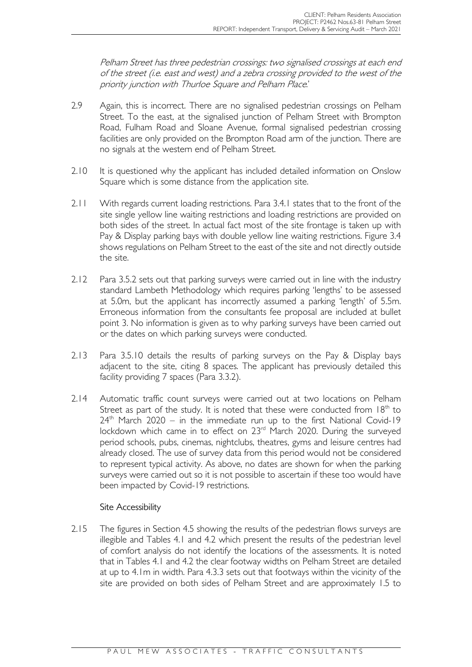Pelham Street has three pedestrian crossings: two signalised crossings at each end of the street (i.e. east and west) and a zebra crossing provided to the west of the priority junction with Thurloe Square and Pelham Place.'

- 2.9 Again, this is incorrect. There are no signalised pedestrian crossings on Pelham Street. To the east, at the signalised junction of Pelham Street with Brompton Road, Fulham Road and Sloane Avenue, formal signalised pedestrian crossing facilities are only provided on the Brompton Road arm of the junction. There are no signals at the western end of Pelham Street.
- 2.10 It is questioned why the applicant has included detailed information on Onslow Square which is some distance from the application site.
- 2.11 With regards current loading restrictions. Para 3.4.1 states that to the front of the site single yellow line waiting restrictions and loading restrictions are provided on both sides of the street. In actual fact most of the site frontage is taken up with Pay & Display parking bays with double yellow line waiting restrictions. Figure 3.4 shows regulations on Pelham Street to the east of the site and not directly outside the site.
- 2.12 Para 3.5.2 sets out that parking surveys were carried out in line with the industry standard Lambeth Methodology which requires parking 'lengths' to be assessed at 5.0m, but the applicant has incorrectly assumed a parking 'length' of 5.5m. Erroneous information from the consultants fee proposal are included at bullet point 3. No information is given as to why parking surveys have been carried out or the dates on which parking surveys were conducted.
- 2.13 Para 3.5.10 details the results of parking surveys on the Pay & Display bays adjacent to the site, citing 8 spaces. The applicant has previously detailed this facility providing 7 spaces (Para 3.3.2).
- 2.14 Automatic traffic count surveys were carried out at two locations on Pelham Street as part of the study. It is noted that these were conducted from  $18<sup>th</sup>$  to  $24<sup>th</sup>$  March 2020 – in the immediate run up to the first National Covid-19 lockdown which came in to effect on  $23<sup>rd</sup>$  March 2020. During the surveyed period schools, pubs, cinemas, nightclubs, theatres, gyms and leisure centres had already closed. The use of survey data from this period would not be considered to represent typical activity. As above, no dates are shown for when the parking surveys were carried out so it is not possible to ascertain if these too would have been impacted by Covid-19 restrictions.

# Site Accessibility

2.15 The figures in Section 4.5 showing the results of the pedestrian flows surveys are illegible and Tables 4.1 and 4.2 which present the results of the pedestrian level of comfort analysis do not identify the locations of the assessments. It is noted that in Tables 4.1 and 4.2 the clear footway widths on Pelham Street are detailed at up to 4.1m in width. Para 4.3.3 sets out that footways within the vicinity of the site are provided on both sides of Pelham Street and are approximately 1.5 to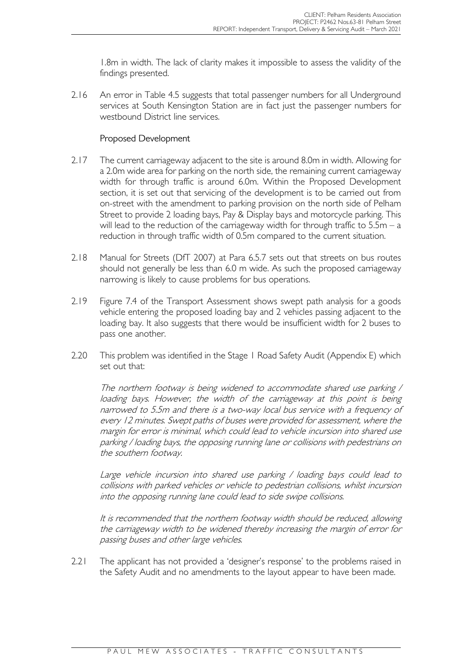1.8m in width. The lack of clarity makes it impossible to assess the validity of the findings presented.

2.16 An error in Table 4.5 suggests that total passenger numbers for all Underground services at South Kensington Station are in fact just the passenger numbers for westbound District line services.

# Proposed Development

- 2.17 The current carriageway adjacent to the site is around 8.0m in width. Allowing for a 2.0m wide area for parking on the north side, the remaining current carriageway width for through traffic is around 6.0m. Within the Proposed Development section, it is set out that servicing of the development is to be carried out from on-street with the amendment to parking provision on the north side of Pelham Street to provide 2 loading bays, Pay & Display bays and motorcycle parking. This will lead to the reduction of the carriageway width for through traffic to  $5.5m - a$ reduction in through traffic width of 0.5m compared to the current situation.
- 2.18 Manual for Streets (DfT 2007) at Para 6.5.7 sets out that streets on bus routes should not generally be less than 6.0 m wide. As such the proposed carriageway narrowing is likely to cause problems for bus operations.
- 2.19 Figure 7.4 of the Transport Assessment shows swept path analysis for a goods vehicle entering the proposed loading bay and 2 vehicles passing adjacent to the loading bay. It also suggests that there would be insufficient width for 2 buses to pass one another.
- 2.20 This problem was identified in the Stage 1 Road Safety Audit (Appendix E) which set out that:

The northern footway is being widened to accommodate shared use parking / loading bays. However, the width of the carriageway at this point is being narrowed to 5.5m and there is a two-way local bus service with a frequency of every 12 minutes. Swept paths of buses were provided for assessment, where the margin for error is minimal, which could lead to vehicle incursion into shared use parking / loading bays, the opposing running lane or collisions with pedestrians on the southern footway.

Large vehicle incursion into shared use parking / loading bays could lead to collisions with parked vehicles or vehicle to pedestrian collisions, whilst incursion into the opposing running lane could lead to side swipe collisions.

It is recommended that the northern footway width should be reduced, allowing the carriageway width to be widened thereby increasing the margin of error for passing buses and other large vehicles.

2.21 The applicant has not provided a 'designer's response' to the problems raised in the Safety Audit and no amendments to the layout appear to have been made.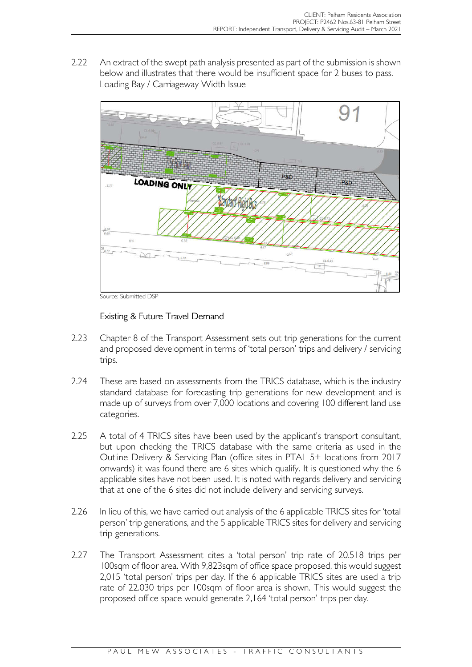2.22 An extract of the swept path analysis presented as part of the submission is shown below and illustrates that there would be insufficient space for 2 buses to pass. Loading Bay / Carriageway Width Issue



Source: Submitted DSP

# Existing & Future Travel Demand

- 2.23 Chapter 8 of the Transport Assessment sets out trip generations for the current and proposed development in terms of 'total person' trips and delivery / servicing trips.
- 2.24 These are based on assessments from the TRICS database, which is the industry standard database for forecasting trip generations for new development and is made up of surveys from over 7,000 locations and covering 100 different land use categories.
- 2.25 A total of 4 TRICS sites have been used by the applicant's transport consultant, but upon checking the TRICS database with the same criteria as used in the Outline Delivery & Servicing Plan (office sites in PTAL 5+ locations from 2017 onwards) it was found there are 6 sites which qualify. It is questioned why the 6 applicable sites have not been used. It is noted with regards delivery and servicing that at one of the 6 sites did not include delivery and servicing surveys.
- 2.26 In lieu of this, we have carried out analysis of the 6 applicable TRICS sites for 'total person' trip generations, and the 5 applicable TRICS sites for delivery and servicing trip generations.
- 2.27 The Transport Assessment cites a 'total person' trip rate of 20.518 trips per 100sqm of floor area. With 9,823sqm of office space proposed, this would suggest 2,015 'total person' trips per day. If the 6 applicable TRICS sites are used a trip rate of 22.030 trips per 100sqm of floor area is shown. This would suggest the proposed office space would generate 2,164 'total person' trips per day.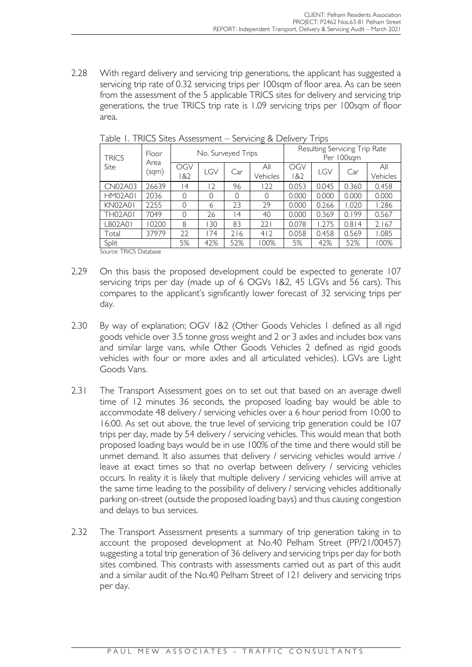2.28 With regard delivery and servicing trip generations, the applicant has suggested a servicing trip rate of 0.32 servicing trips per 100sqm of floor area. As can be seen from the assessment of the 5 applicable TRICS sites for delivery and servicing trip generations, the true TRICS trip rate is 1.09 servicing trips per 100sqm of floor area.

| <b>TRICS</b><br>Site | Floor<br>Area<br>(sqm) | $\cdot$<br>No. Surveyed Trips |                |                |                 | Resulting Servicing Trip Rate<br>Per 100sqm |       |       |                 |
|----------------------|------------------------|-------------------------------|----------------|----------------|-----------------|---------------------------------------------|-------|-------|-----------------|
|                      |                        | OGV<br>82                     | LGV            | Car            | All<br>Vehicles | OGV<br>1&2                                  | LGV   | Car   | All<br>Vehicles |
| CN02A03              | 26639                  | $\vert 4$                     | $\overline{2}$ | 96             | 22              | 0.053                                       | 0.045 | 0.360 | 0.458           |
| <b>HM02A01</b>       | 2036                   | $\Omega$                      | 0              | 0              | 0               | 0.000                                       | 0.000 | 0.000 | 0.000           |
| <b>KN02A01</b>       | 2255                   | $\Omega$                      | 6              | 23             | 29              | 0.000                                       | 0.266 | 1.020 | 1.286           |
| <b>TH02A01</b>       | 7049                   | 0                             | 26             | $\overline{4}$ | 40              | 0.000                                       | 0.369 | 0.199 | 0.567           |
| LB02A01              | 0200                   | 8                             | 30             | 83             | 221             | 0.078                                       | .275  | 0.814 | 2.167           |
| Total                | 37979                  | 22                            | 174            | 216            | 412             | 0.058                                       | 0.458 | 0.569 | 1.085           |
| Split                |                        | 5%                            | 42%            | 52%            | 100%            | 5%                                          | 42%   | 52%   | 100%            |

Table 1. TRICS Sites Assessment – Servicing & Delivery Trips

Source: TRICS Database

- 2.29 On this basis the proposed development could be expected to generate 107 servicing trips per day (made up of 6 OGVs 1&2, 45 LGVs and 56 cars). This compares to the applicant's significantly lower forecast of 32 servicing trips per day.
- 2.30 By way of explanation; OGV 1&2 (Other Goods Vehicles 1 defined as all rigid goods vehicle over 3.5 tonne gross weight and 2 or 3 axles and includes box vans and similar large vans, while Other Goods Vehicles 2 defined as rigid goods vehicles with four or more axles and all articulated vehicles). LGVs are Light Goods Vans.
- 2.31 The Transport Assessment goes on to set out that based on an average dwell time of 12 minutes 36 seconds, the proposed loading bay would be able to accommodate 48 delivery / servicing vehicles over a 6 hour period from 10:00 to 16:00. As set out above, the true level of servicing trip generation could be 107 trips per day, made by 54 delivery / servicing vehicles. This would mean that both proposed loading bays would be in use 100% of the time and there would still be unmet demand. It also assumes that delivery / servicing vehicles would arrive / leave at exact times so that no overlap between delivery / servicing vehicles occurs. In reality it is likely that multiple delivery / servicing vehicles will arrive at the same time leading to the possibility of delivery / servicing vehicles additionally parking on-street (outside the proposed loading bays) and thus causing congestion and delays to bus services.
- 2.32 The Transport Assessment presents a summary of trip generation taking in to account the proposed development at No.40 Pelham Street (PP/21/00457) suggesting a total trip generation of 36 delivery and servicing trips per day for both sites combined. This contrasts with assessments carried out as part of this audit and a similar audit of the No.40 Pelham Street of 121 delivery and servicing trips per day.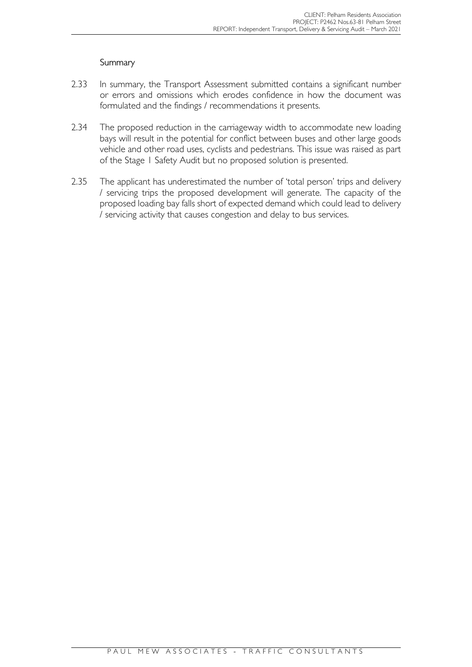## Summary

- 2.33 In summary, the Transport Assessment submitted contains a significant number or errors and omissions which erodes confidence in how the document was formulated and the findings / recommendations it presents.
- 2.34 The proposed reduction in the carriageway width to accommodate new loading bays will result in the potential for conflict between buses and other large goods vehicle and other road uses, cyclists and pedestrians. This issue was raised as part of the Stage 1 Safety Audit but no proposed solution is presented.
- 2.35 The applicant has underestimated the number of 'total person' trips and delivery / servicing trips the proposed development will generate. The capacity of the proposed loading bay falls short of expected demand which could lead to delivery / servicing activity that causes congestion and delay to bus services.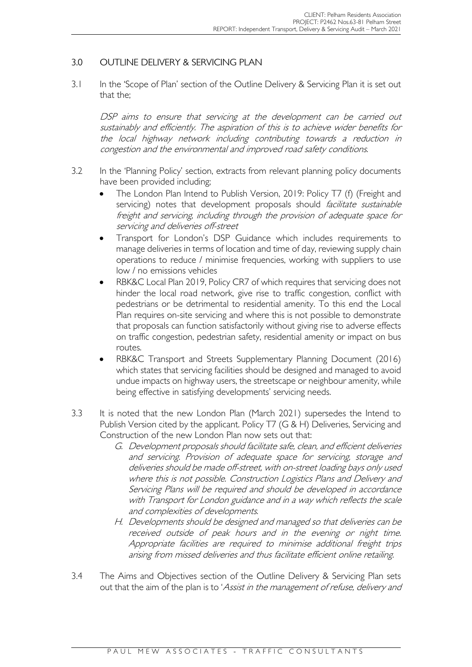# 3.0 OUTLINE DELIVERY & SERVICING PLAN

3.1 In the 'Scope of Plan' section of the Outline Delivery & Servicing Plan it is set out that the;

DSP aims to ensure that servicing at the development can be carried out sustainably and efficiently. The aspiration of this is to achieve wider benefits for the local highway network including contributing towards a reduction in congestion and the environmental and improved road safety conditions.

- 3.2 In the 'Planning Policy' section, extracts from relevant planning policy documents have been provided including;
	- The London Plan Intend to Publish Version, 2019: Policy T7 (f) (Freight and servicing) notes that development proposals should facilitate sustainable freight and servicing, including through the provision of adequate space for servicing and deliveries off-street
	- Transport for London's DSP Guidance which includes requirements to manage deliveries in terms of location and time of day, reviewing supply chain operations to reduce / minimise frequencies, working with suppliers to use low / no emissions vehicles
	- RBK&C Local Plan 2019, Policy CR7 of which requires that servicing does not hinder the local road network, give rise to traffic congestion, conflict with pedestrians or be detrimental to residential amenity. To this end the Local Plan requires on-site servicing and where this is not possible to demonstrate that proposals can function satisfactorily without giving rise to adverse effects on traffic congestion, pedestrian safety, residential amenity or impact on bus routes.
	- RBK&C Transport and Streets Supplementary Planning Document (2016) which states that servicing facilities should be designed and managed to avoid undue impacts on highway users, the streetscape or neighbour amenity, while being effective in satisfying developments' servicing needs.
- 3.3 It is noted that the new London Plan (March 2021) supersedes the Intend to Publish Version cited by the applicant. Policy T7 (G & H) Deliveries, Servicing and Construction of the new London Plan now sets out that:
	- G. Development proposals should facilitate safe, clean, and efficient deliveries and servicing. Provision of adequate space for servicing, storage and deliveries should be made off-street, with on-street loading bays only used where this is not possible. Construction Logistics Plans and Delivery and Servicing Plans will be required and should be developed in accordance with Transport for London guidance and in a way which reflects the scale and complexities of developments.
	- H. Developments should be designed and managed so that deliveries can be received outside of peak hours and in the evening or night time. Appropriate facilities are required to minimise additional freight trips arising from missed deliveries and thus facilitate efficient online retailing.
- 3.4 The Aims and Objectives section of the Outline Delivery & Servicing Plan sets out that the aim of the plan is to 'Assist in the management of refuse, delivery and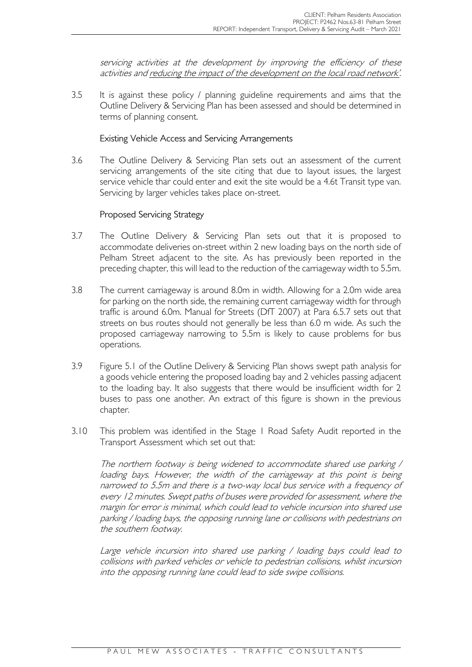servicing activities at the development by improving the efficiency of these activities and reducing the impact of the development on the local road network'.

3.5 It is against these policy / planning guideline requirements and aims that the Outline Delivery & Servicing Plan has been assessed and should be determined in terms of planning consent.

### Existing Vehicle Access and Servicing Arrangements

3.6 The Outline Delivery & Servicing Plan sets out an assessment of the current servicing arrangements of the site citing that due to layout issues, the largest service vehicle thar could enter and exit the site would be a 4.6t Transit type van. Servicing by larger vehicles takes place on-street.

### Proposed Servicing Strategy

- 3.7 The Outline Delivery & Servicing Plan sets out that it is proposed to accommodate deliveries on-street within 2 new loading bays on the north side of Pelham Street adjacent to the site. As has previously been reported in the preceding chapter, this will lead to the reduction of the carriageway width to 5.5m.
- 3.8 The current carriageway is around 8.0m in width. Allowing for a 2.0m wide area for parking on the north side, the remaining current carriageway width for through traffic is around 6.0m. Manual for Streets (DfT 2007) at Para 6.5.7 sets out that streets on bus routes should not generally be less than 6.0 m wide. As such the proposed carriageway narrowing to 5.5m is likely to cause problems for bus operations.
- 3.9 Figure 5.1 of the Outline Delivery & Servicing Plan shows swept path analysis for a goods vehicle entering the proposed loading bay and 2 vehicles passing adjacent to the loading bay. It also suggests that there would be insufficient width for 2 buses to pass one another. An extract of this figure is shown in the previous chapter.
- 3.10 This problem was identified in the Stage 1 Road Safety Audit reported in the Transport Assessment which set out that:

The northern footway is being widened to accommodate shared use parking / loading bays. However, the width of the carriageway at this point is being narrowed to 5.5m and there is a two-way local bus service with a frequency of every 12 minutes. Swept paths of buses were provided for assessment, where the margin for error is minimal, which could lead to vehicle incursion into shared use parking / loading bays, the opposing running lane or collisions with pedestrians on the southern footway.

Large vehicle incursion into shared use parking / loading bays could lead to collisions with parked vehicles or vehicle to pedestrian collisions, whilst incursion into the opposing running lane could lead to side swipe collisions.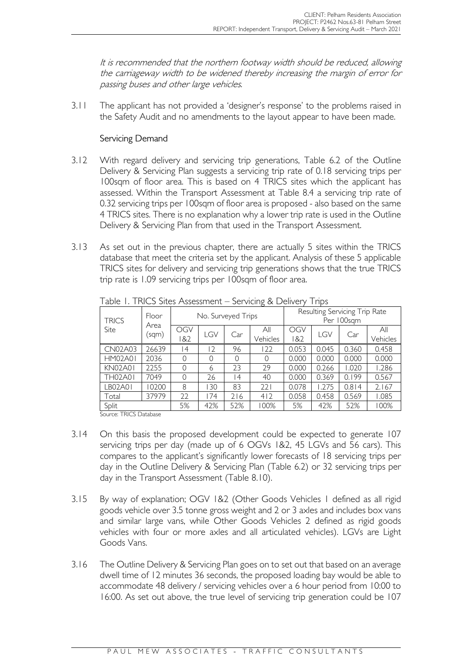It is recommended that the northern footway width should be reduced, allowing the carriageway width to be widened thereby increasing the margin of error for passing buses and other large vehicles.

3.11 The applicant has not provided a 'designer's response' to the problems raised in the Safety Audit and no amendments to the layout appear to have been made.

# Servicing Demand

- 3.12 With regard delivery and servicing trip generations, Table 6.2 of the Outline Delivery & Servicing Plan suggests a servicing trip rate of 0.18 servicing trips per 100sqm of floor area. This is based on 4 TRICS sites which the applicant has assessed. Within the Transport Assessment at Table 8.4 a servicing trip rate of 0.32 servicing trips per 100sqm of floor area is proposed - also based on the same 4 TRICS sites. There is no explanation why a lower trip rate is used in the Outline Delivery & Servicing Plan from that used in the Transport Assessment.
- 3.13 As set out in the previous chapter, there are actually 5 sites within the TRICS database that meet the criteria set by the applicant. Analysis of these 5 applicable TRICS sites for delivery and servicing trip generations shows that the true TRICS trip rate is 1.09 servicing trips per 100sqm of floor area.

| TRICS<br>Site  | Floor<br>Area<br>(sqm) | No. Surveyed Trips |     |                |                 | Resulting Servicing Trip Rate<br>Per 100sqm |       |       |                 |
|----------------|------------------------|--------------------|-----|----------------|-----------------|---------------------------------------------|-------|-------|-----------------|
|                |                        | OGV<br>1&2         | LGV | Car            | All<br>Vehicles | OGV<br>1&2                                  | LGV   | Car   | All<br>Vehicles |
| <b>CN02A03</b> | 26639                  | $\overline{4}$     | 12  | 96             | 22              | 0.053                                       | 0.045 | 0.360 | 0.458           |
| <b>HM02A01</b> | 2036                   | Ω                  | 0   | 0              |                 | 0.000                                       | 0.000 | 0.000 | 0.000           |
| <b>KN02A01</b> | 2255                   | 0                  | 6   | 23             | 29              | 0.000                                       | 0.266 | .020  | .286            |
| <b>TH02A01</b> | 7049                   | Ω                  | 26  | $\overline{4}$ | 40              | 0.000                                       | 0.369 | 0.199 | 0.567           |
| LB02A01        | 0200                   | 8                  | 30  | 83             | 221             | 0.078                                       | .275  | 0.814 | 2.167           |
| Total          | 37979                  | 22                 | 174 | 216            | 412             | 0.058                                       | 0.458 | 0.569 | 1.085           |
| Split          |                        | 5%                 | 42% | 52%            | 100%            | 5%                                          | 42%   | 52%   | 100%            |

Table 1. TRICS Sites Assessment – Servicing & Delivery Trips

Source: TRICS Database

- 3.14 On this basis the proposed development could be expected to generate 107 servicing trips per day (made up of 6 OGVs 1&2, 45 LGVs and 56 cars). This compares to the applicant's significantly lower forecasts of 18 servicing trips per day in the Outline Delivery & Servicing Plan (Table 6.2) or 32 servicing trips per day in the Transport Assessment (Table 8.10).
- 3.15 By way of explanation; OGV 1&2 (Other Goods Vehicles 1 defined as all rigid goods vehicle over 3.5 tonne gross weight and 2 or 3 axles and includes box vans and similar large vans, while Other Goods Vehicles 2 defined as rigid goods vehicles with four or more axles and all articulated vehicles). LGVs are Light Goods Vans.
- 3.16 The Outline Delivery & Servicing Plan goes on to set out that based on an average dwell time of 12 minutes 36 seconds, the proposed loading bay would be able to accommodate 48 delivery / servicing vehicles over a 6 hour period from 10:00 to 16:00. As set out above, the true level of servicing trip generation could be 107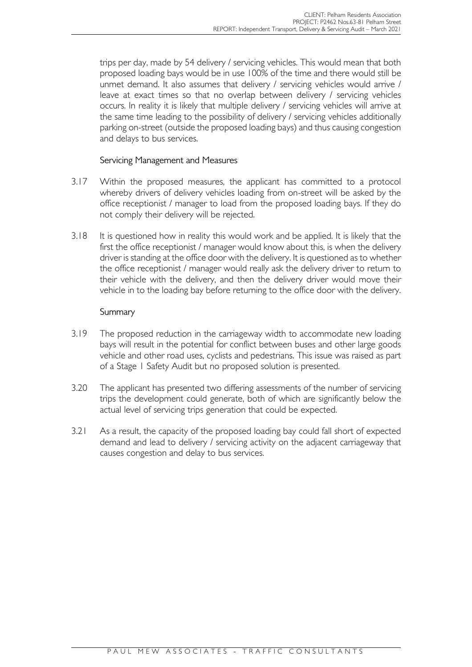trips per day, made by 54 delivery / servicing vehicles. This would mean that both proposed loading bays would be in use 100% of the time and there would still be unmet demand. It also assumes that delivery / servicing vehicles would arrive / leave at exact times so that no overlap between delivery / servicing vehicles occurs. In reality it is likely that multiple delivery / servicing vehicles will arrive at the same time leading to the possibility of delivery / servicing vehicles additionally parking on-street (outside the proposed loading bays) and thus causing congestion and delays to bus services.

## Servicing Management and Measures

- 3.17 Within the proposed measures, the applicant has committed to a protocol whereby drivers of delivery vehicles loading from on-street will be asked by the office receptionist / manager to load from the proposed loading bays. If they do not comply their delivery will be rejected.
- 3.18 It is questioned how in reality this would work and be applied. It is likely that the first the office receptionist / manager would know about this, is when the delivery driver is standing at the office door with the delivery. It is questioned as to whether the office receptionist / manager would really ask the delivery driver to return to their vehicle with the delivery, and then the delivery driver would move their vehicle in to the loading bay before returning to the office door with the delivery.

### **Summary**

- 3.19 The proposed reduction in the carriageway width to accommodate new loading bays will result in the potential for conflict between buses and other large goods vehicle and other road uses, cyclists and pedestrians. This issue was raised as part of a Stage 1 Safety Audit but no proposed solution is presented.
- 3.20 The applicant has presented two differing assessments of the number of servicing trips the development could generate, both of which are significantly below the actual level of servicing trips generation that could be expected.
- 3.21 As a result, the capacity of the proposed loading bay could fall short of expected demand and lead to delivery / servicing activity on the adjacent carriageway that causes congestion and delay to bus services.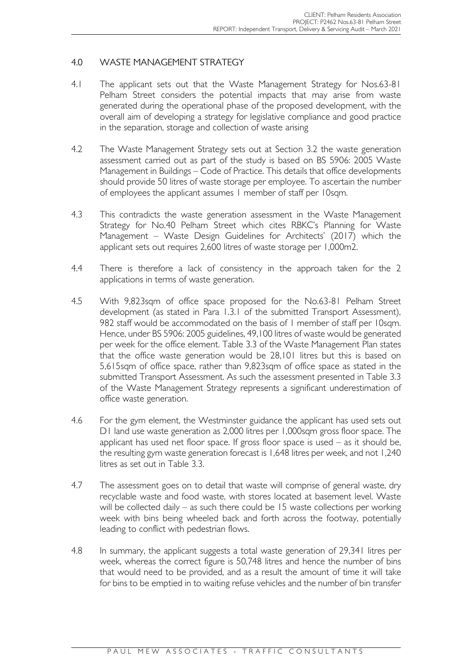# 4.0 WASTE MANAGEMENT STRATEGY

- 4.1 The applicant sets out that the Waste Management Strategy for Nos.63-81 Pelham Street considers the potential impacts that may arise from waste generated during the operational phase of the proposed development, with the overall aim of developing a strategy for legislative compliance and good practice in the separation, storage and collection of waste arising
- 4.2 The Waste Management Strategy sets out at Section 3.2 the waste generation assessment carried out as part of the study is based on BS 5906: 2005 Waste Management in Buildings – Code of Practice. This details that office developments should provide 50 litres of waste storage per employee. To ascertain the number of employees the applicant assumes 1 member of staff per 10sqm.
- 4.3 This contradicts the waste generation assessment in the Waste Management Strategy for No.40 Pelham Street which cites RBKC's Planning for Waste Management – Waste Design Guidelines for Architects' (2017) which the applicant sets out requires 2,600 litres of waste storage per 1,000m2.
- 4.4 There is therefore a lack of consistency in the approach taken for the 2 applications in terms of waste generation.
- 4.5 With 9,823sqm of office space proposed for the No.63-81 Pelham Street development (as stated in Para 1.3.1 of the submitted Transport Assessment), 982 staff would be accommodated on the basis of 1 member of staff per 10sqm. Hence, under BS 5906: 2005 guidelines, 49,100 litres of waste would be generated per week for the office element. Table 3.3 of the Waste Management Plan states that the office waste generation would be 28,101 litres but this is based on 5,615sqm of office space, rather than 9,823sqm of office space as stated in the submitted Transport Assessment. As such the assessment presented in Table 3.3 of the Waste Management Strategy represents a significant underestimation of office waste generation.
- 4.6 For the gym element, the Westminster guidance the applicant has used sets out D1 land use waste generation as 2,000 litres per 1,000sqm gross floor space. The applicant has used net floor space. If gross floor space is used  $-$  as it should be, the resulting gym waste generation forecast is 1,648 litres per week, and not 1,240 litres as set out in Table 3.3.
- 4.7 The assessment goes on to detail that waste will comprise of general waste, dry recyclable waste and food waste, with stores located at basement level. Waste will be collected daily – as such there could be 15 waste collections per working week with bins being wheeled back and forth across the footway, potentially leading to conflict with pedestrian flows.
- 4.8 In summary, the applicant suggests a total waste generation of 29,341 litres per week, whereas the correct figure is 50,748 litres and hence the number of bins that would need to be provided, and as a result the amount of time it will take for bins to be emptied in to waiting refuse vehicles and the number of bin transfer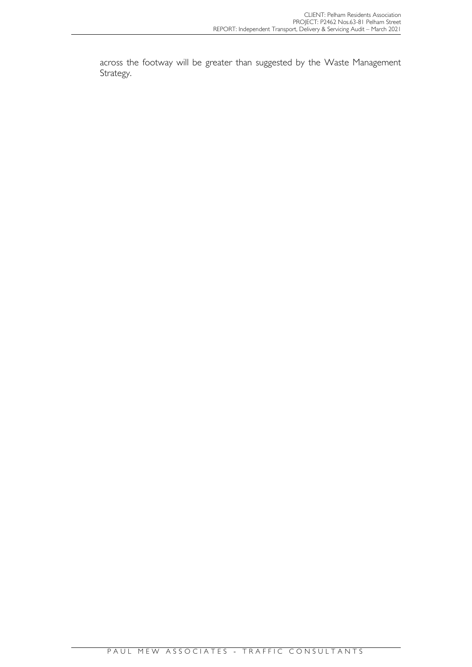across the footway will be greater than suggested by the Waste Management Strategy.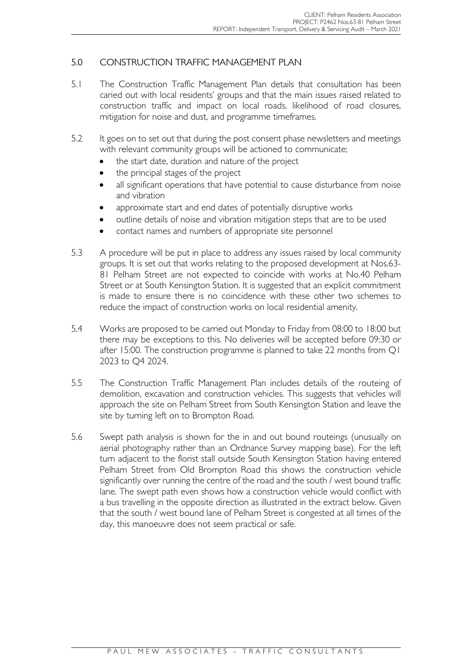# 5.0 CONSTRUCTION TRAFFIC MANAGEMENT PLAN

- 5.1 The Construction Traffic Management Plan details that consultation has been caried out with local residents' groups and that the main issues raised related to construction traffic and impact on local roads, likelihood of road closures, mitigation for noise and dust, and programme timeframes.
- 5.2 It goes on to set out that during the post consent phase newsletters and meetings with relevant community groups will be actioned to communicate;
	- the start date, duration and nature of the project
	- the principal stages of the project
	- all significant operations that have potential to cause disturbance from noise and vibration
	- approximate start and end dates of potentially disruptive works
	- outline details of noise and vibration mitigation steps that are to be used
	- contact names and numbers of appropriate site personnel
- 5.3 A procedure will be put in place to address any issues raised by local community groups. It is set out that works relating to the proposed development at Nos.63- 81 Pelham Street are not expected to coincide with works at No.40 Pelham Street or at South Kensington Station. It is suggested that an explicit commitment is made to ensure there is no coincidence with these other two schemes to reduce the impact of construction works on local residential amenity.
- 5.4 Works are proposed to be carried out Monday to Friday from 08:00 to 18:00 but there may be exceptions to this. No deliveries will be accepted before 09:30 or after 15:00. The construction programme is planned to take 22 months from Q1 2023 to Q4 2024.
- 5.5 The Construction Traffic Management Plan includes details of the routeing of demolition, excavation and construction vehicles. This suggests that vehicles will approach the site on Pelham Street from South Kensington Station and leave the site by turning left on to Brompton Road.
- 5.6 Swept path analysis is shown for the in and out bound routeings (unusually on aerial photography rather than an Ordnance Survey mapping base). For the left turn adjacent to the florist stall outside South Kensington Station having entered Pelham Street from Old Brompton Road this shows the construction vehicle significantly over running the centre of the road and the south / west bound traffic lane. The swept path even shows how a construction vehicle would conflict with a bus travelling in the opposite direction as illustrated in the extract below. Given that the south / west bound lane of Pelham Street is congested at all times of the day, this manoeuvre does not seem practical or safe.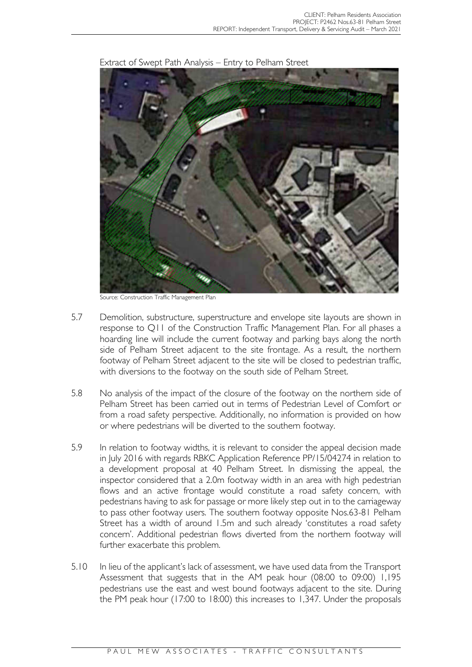

Extract of Swept Path Analysis – Entry to Pelham Street

Source: Construction Traffic Management Plan

- 5.7 Demolition, substructure, superstructure and envelope site layouts are shown in response to Q11 of the Construction Traffic Management Plan. For all phases a hoarding line will include the current footway and parking bays along the north side of Pelham Street adjacent to the site frontage. As a result, the northern footway of Pelham Street adjacent to the site will be closed to pedestrian traffic, with diversions to the footway on the south side of Pelham Street.
- 5.8 No analysis of the impact of the closure of the footway on the northern side of Pelham Street has been carried out in terms of Pedestrian Level of Comfort or from a road safety perspective. Additionally, no information is provided on how or where pedestrians will be diverted to the southern footway.
- 5.9 In relation to footway widths, it is relevant to consider the appeal decision made in July 2016 with regards RBKC Application Reference PP/15/04274 in relation to a development proposal at 40 Pelham Street. In dismissing the appeal, the inspector considered that a 2.0m footway width in an area with high pedestrian flows and an active frontage would constitute a road safety concern, with pedestrians having to ask for passage or more likely step out in to the carriageway to pass other footway users. The southern footway opposite Nos.63-81 Pelham Street has a width of around 1.5m and such already 'constitutes a road safety concern'. Additional pedestrian flows diverted from the northern footway will further exacerbate this problem.
- 5.10 In lieu of the applicant's lack of assessment, we have used data from the Transport Assessment that suggests that in the AM peak hour (08:00 to 09:00) 1,195 pedestrians use the east and west bound footways adjacent to the site. During the PM peak hour (17:00 to 18:00) this increases to 1,347. Under the proposals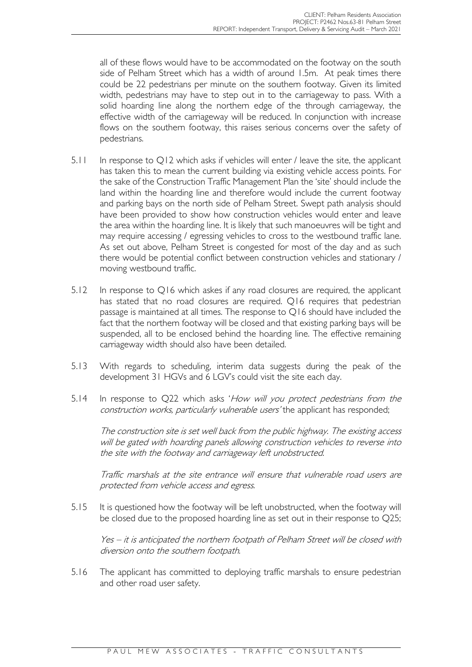all of these flows would have to be accommodated on the footway on the south side of Pelham Street which has a width of around 1.5m. At peak times there could be 22 pedestrians per minute on the southern footway. Given its limited width, pedestrians may have to step out in to the carriageway to pass. With a solid hoarding line along the northern edge of the through carriageway, the effective width of the carriageway will be reduced. In conjunction with increase flows on the southern footway, this raises serious concerns over the safety of pedestrians.

- 5.11 In response to Q12 which asks if vehicles will enter / leave the site, the applicant has taken this to mean the current building via existing vehicle access points. For the sake of the Construction Traffic Management Plan the 'site' should include the land within the hoarding line and therefore would include the current footway and parking bays on the north side of Pelham Street. Swept path analysis should have been provided to show how construction vehicles would enter and leave the area within the hoarding line. It is likely that such manoeuvres will be tight and may require accessing / egressing vehicles to cross to the westbound traffic lane. As set out above, Pelham Street is congested for most of the day and as such there would be potential conflict between construction vehicles and stationary / moving westbound traffic.
- 5.12 In response to Q16 which askes if any road closures are required, the applicant has stated that no road closures are required. Q16 requires that pedestrian passage is maintained at all times. The response to Q16 should have included the fact that the northern footway will be closed and that existing parking bays will be suspended, all to be enclosed behind the hoarding line. The effective remaining carriageway width should also have been detailed.
- 5.13 With regards to scheduling, interim data suggests during the peak of the development 31 HGVs and 6 LGV's could visit the site each day.
- 5.14 In response to Q22 which asks 'How will you protect pedestrians from the construction works, particularly vulnerable users' the applicant has responded;

The construction site is set well back from the public highway. The existing access will be gated with hoarding panels allowing construction vehicles to reverse into the site with the footway and carriageway left unobstructed.

Traffic marshals at the site entrance will ensure that vulnerable road users are protected from vehicle access and egress.

5.15 It is questioned how the footway will be left unobstructed, when the footway will be closed due to the proposed hoarding line as set out in their response to Q25;

Yes – it is anticipated the northern footpath of Pelham Street will be closed with diversion onto the southern footpath.

5.16 The applicant has committed to deploying traffic marshals to ensure pedestrian and other road user safety.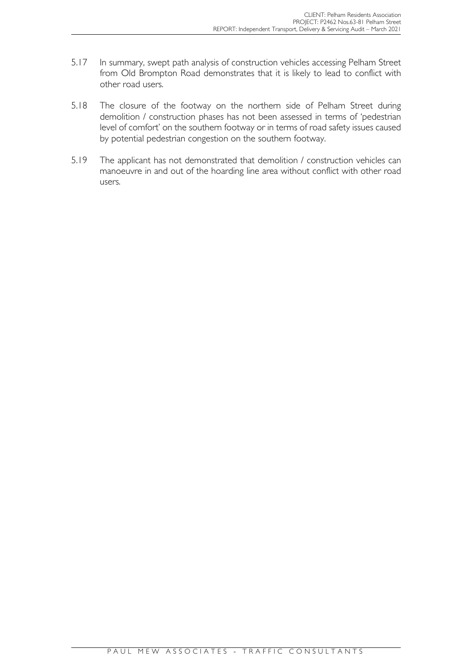- 5.17 In summary, swept path analysis of construction vehicles accessing Pelham Street from Old Brompton Road demonstrates that it is likely to lead to conflict with other road users.
- 5.18 The closure of the footway on the northern side of Pelham Street during demolition / construction phases has not been assessed in terms of 'pedestrian level of comfort' on the southern footway or in terms of road safety issues caused by potential pedestrian congestion on the southern footway.
- 5.19 The applicant has not demonstrated that demolition / construction vehicles can manoeuvre in and out of the hoarding line area without conflict with other road users.